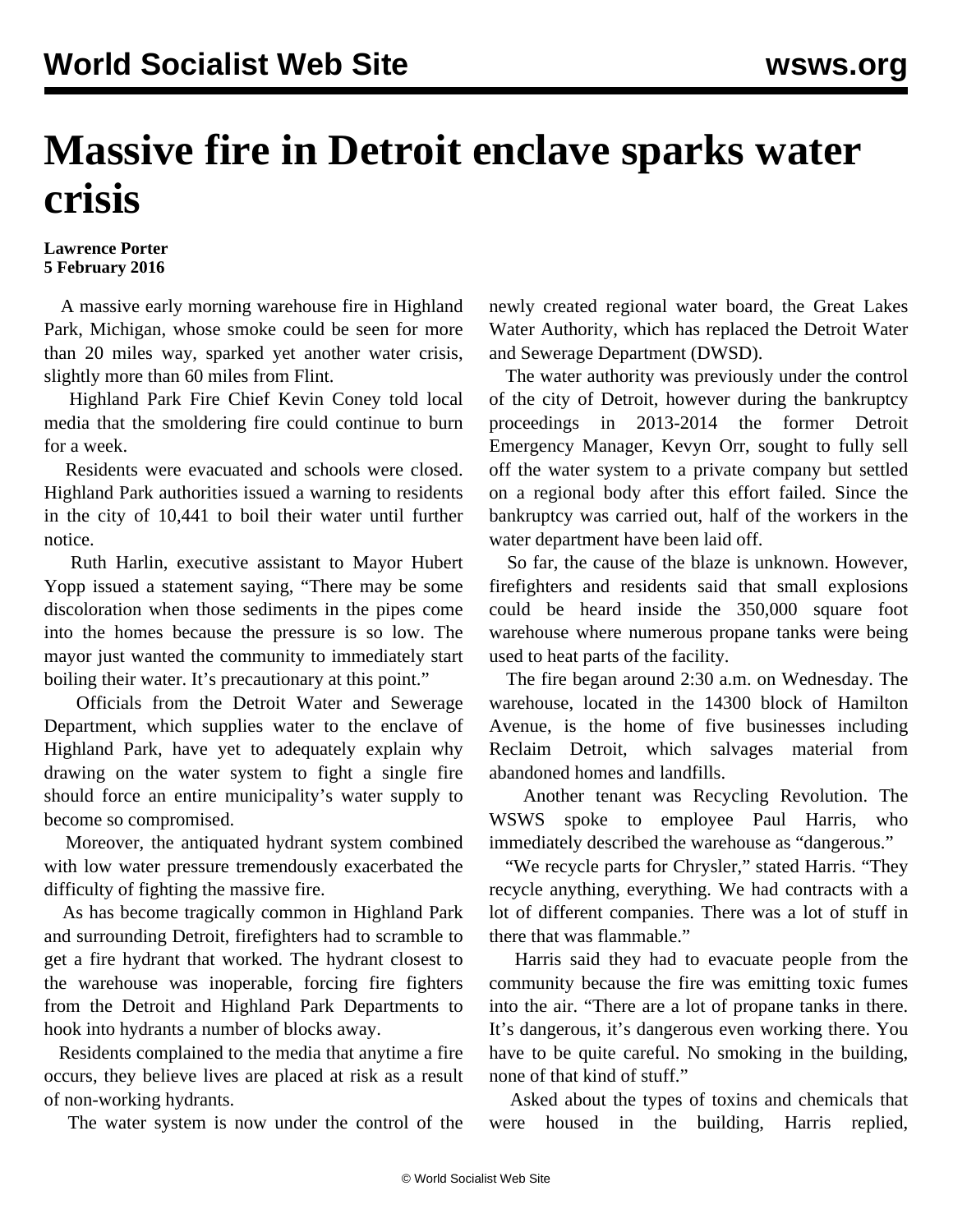## **Massive fire in Detroit enclave sparks water crisis**

## **Lawrence Porter 5 February 2016**

 A massive early morning warehouse fire in Highland Park, Michigan, whose smoke could be seen for more than 20 miles way, sparked yet another water crisis, slightly more than 60 miles from Flint.

 Highland Park Fire Chief Kevin Coney told local media that the smoldering fire could continue to burn for a week.

 Residents were evacuated and schools were closed. Highland Park authorities issued a warning to residents in the city of 10,441 to boil their water until further notice.

 Ruth Harlin, executive assistant to Mayor Hubert Yopp issued a statement saying, "There may be some discoloration when those sediments in the pipes come into the homes because the pressure is so low. The mayor just wanted the community to immediately start boiling their water. It's precautionary at this point."

 Officials from the Detroit Water and Sewerage Department, which supplies water to the enclave of Highland Park, have yet to adequately explain why drawing on the water system to fight a single fire should force an entire municipality's water supply to become so compromised.

 Moreover, the antiquated hydrant system combined with low water pressure tremendously exacerbated the difficulty of fighting the massive fire.

 As has become tragically common in Highland Park and surrounding Detroit, firefighters had to scramble to get a fire hydrant that worked. The hydrant closest to the warehouse was inoperable, forcing fire fighters from the Detroit and Highland Park Departments to hook into hydrants a number of blocks away.

 Residents complained to the media that anytime a fire occurs, they believe lives are placed at risk as a result of non-working hydrants.

The water system is now under the control of the

newly created regional water board, the Great Lakes Water Authority, which has replaced the Detroit Water and Sewerage Department (DWSD).

 The water authority was previously under the control of the city of Detroit, however during the bankruptcy proceedings in 2013-2014 the former Detroit Emergency Manager, Kevyn Orr, sought to fully sell off the water system to a private company but settled on a regional body after this effort failed. Since the bankruptcy was carried out, half of the workers in the water department have been laid off.

 So far, the cause of the blaze is unknown. However, firefighters and residents said that small explosions could be heard inside the 350,000 square foot warehouse where numerous propane tanks were being used to heat parts of the facility.

 The fire began around 2:30 a.m. on Wednesday. The warehouse, located in the 14300 block of Hamilton Avenue, is the home of five businesses including Reclaim Detroit, which salvages material from abandoned homes and landfills.

 Another tenant was Recycling Revolution. The WSWS spoke to employee Paul Harris, who immediately described the warehouse as "dangerous."

"We recycle parts for Chrysler," stated Harris. "They recycle anything, everything. We had contracts with a lot of different companies. There was a lot of stuff in there that was flammable."

 Harris said they had to evacuate people from the community because the fire was emitting toxic fumes into the air. "There are a lot of propane tanks in there. It's dangerous, it's dangerous even working there. You have to be quite careful. No smoking in the building, none of that kind of stuff."

 Asked about the types of toxins and chemicals that were housed in the building, Harris replied,